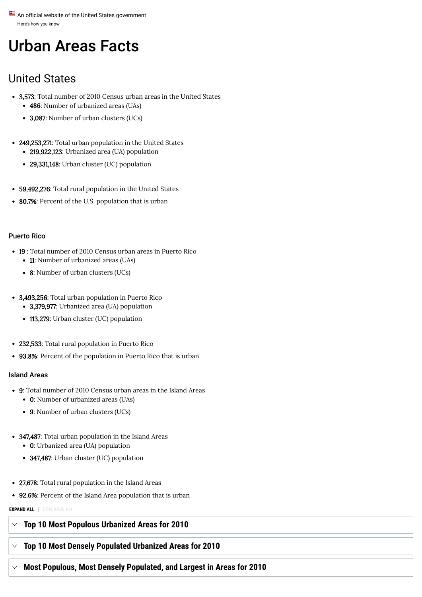Here's how you know An official website of the United States government

# Urban Areas Facts

# United States

- 3,573: Total number of 2010 Census urban areas in the United States
	- 486: Number of urbanized areas (UAs)
	- 3,087: Number of urban clusters (UCs)
- 249,253,271: Total urban population in the United States
	- 219,922,123: Urbanized area (UA) population
	- **29,331,148**: Urban cluster (UC) population
- 59,492,276: Total rural population in the United States
- 80.7%: Percent of the U.S. population that is urban

#### Puerto Rico

- 19 : Total number of 2010 Census urban areas in Puerto Rico
	- 11: Number of urbanized areas (UAs)
	- 8: Number of urban clusters (UCs)
- 3,493,256: Total urban population in Puerto Rico
	- 3,379,977: Urbanized area (UA) population
	- **113,279**: Urban cluster (UC) population
- 232,533: Total rural population in Puerto Rico
- **93.8%**: Percent of the population in Puerto Rico that is urban

#### Island Areas

- 9: Total number of 2010 Census urban areas in the Island Areas
	- 0: Number of urbanized areas (UAs)
	- 9: Number of urban clusters (UCs)
- **347,487**: Total urban population in the Island Areas 0: Urbanized area (UA) population
	- **347,487**: Urban cluster (UC) population
- **27,678**: Total rural population in the Island Areas
- **92.6%**: Percent of the Island Area population that is urban
- **EXPAND ALL COLLAPSE ALL**

### **Top 10 Most Populous Urbanized Areas for 2010**

# **Top 10 Most Densely Populated Urbanized Areas for 2010**

# **Most Populous, Most Densely Populated, and Largest in Areas for 2010**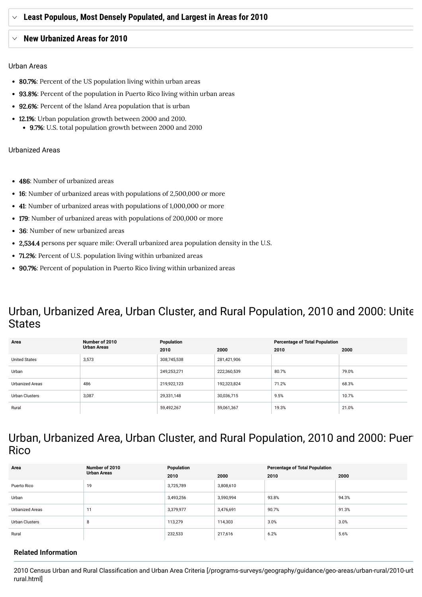### **New Urbanized Areas for 2010**

#### Urban Areas

- 80.7%: Percent of the US population living within urban areas
- **93.8%**: Percent of the population in Puerto Rico living within urban areas
- **92.6%**: Percent of the Island Area population that is urban
- 12.1%: Urban population growth between 2000 and 2010.
	- 9.7%: U.S. total population growth between 2000 and 2010

#### Urbanized Areas

- 486: Number of urbanized areas
- 16: Number of urbanized areas with populations of 2,500,000 or more
- 41: Number of urbanized areas with populations of 1,000,000 or more
- 179: Number of urbanized areas with populations of 200,000 or more
- 36: Number of new urbanized areas
- **2,534.4** persons per square mile: Overall urbanized area population density in the U.S.
- 71.2%: Percent of U.S. population living within urbanized areas
- 90.7%: Percent of population in Puerto Rico living within urbanized areas

# Urban, Urbanized Area, Urban Cluster, and Rural Population, 2010 and 2000: Unite **States**

| Area                   | Number of 2010<br><b>Urban Areas</b> | Population  |             | <b>Percentage of Total Population</b> |       |
|------------------------|--------------------------------------|-------------|-------------|---------------------------------------|-------|
|                        |                                      | 2010        | 2000        | 2010                                  | 2000  |
| <b>United States</b>   | 3,573                                | 308,745,538 | 281,421,906 |                                       |       |
| Urban                  |                                      | 249,253,271 | 222,360,539 | 80.7%                                 | 79.0% |
| <b>Urbanized Areas</b> | 486                                  | 219,922,123 | 192,323,824 | 71.2%                                 | 68.3% |
| Urban Clusters         | 3,087                                | 29,331,148  | 30,036,715  | 9.5%                                  | 10.7% |
| Rural                  |                                      | 59,492,267  | 59,061,367  | 19.3%                                 | 21.0% |

# Urban, Urbanized Area, Urban Cluster, and Rural Population, 2010 and 2000: Puert **Rico**

| Area                   | Number of 2010<br><b>Urban Areas</b> | Population |           | <b>Percentage of Total Population</b> |       |
|------------------------|--------------------------------------|------------|-----------|---------------------------------------|-------|
|                        |                                      | 2010       | 2000      | 2010                                  | 2000  |
| Puerto Rico            | 19                                   | 3,725,789  | 3,808,610 |                                       |       |
| Urban                  |                                      | 3,493,256  | 3,590,994 | 93.8%                                 | 94.3% |
| <b>Urbanized Areas</b> | 11                                   | 3,379,977  | 3,476,691 | 90.7%                                 | 91.3% |
| Urban Clusters         | 8                                    | 113,279    | 114,303   | 3.0%                                  | 3.0%  |
| Rural                  |                                      | 232,533    | 217,616   | 6.2%                                  | 5.6%  |

### **Related Information**

2010 Census Urban and Rural Classification and Urban Area Criteria [\[/programs-surveys/geography/guidance/geo-areas/urban-rural/2010-urb](https://www.census.gov/programs-surveys/geography/guidance/geo-areas/urban-rural/2010-urban-rural.html) rural.html]